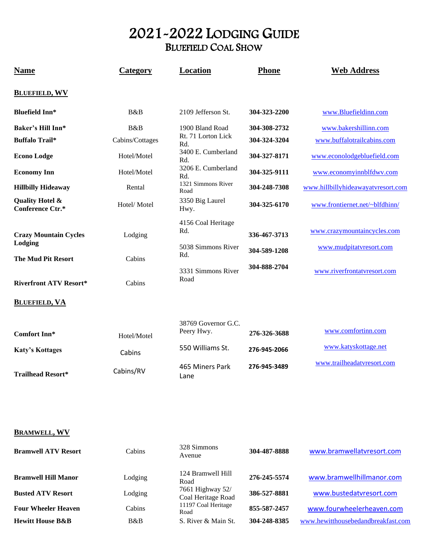# 2021-2022 LODGING GUIDE BLUEFIELD COAL SHOW

| <b>Name</b>                                    | Category        | Location                          | Phone        | <b>Web Address</b>                 |
|------------------------------------------------|-----------------|-----------------------------------|--------------|------------------------------------|
| <b>BLUEFIELD, WV</b>                           |                 |                                   |              |                                    |
| <b>Bluefield Inn*</b>                          | B&B             | 2109 Jefferson St.                | 304-323-2200 | www.Bluefieldinn.com               |
| Baker's Hill Inn*                              | B&B             | 1900 Bland Road                   | 304-308-2732 | www.bakershillinn.com              |
| <b>Buffalo Trail*</b>                          | Cabins/Cottages | Rt. 71 Lorton Lick<br>Rd.         | 304-324-3204 | www.buffalotrailcabins.com         |
| <b>Econo Lodge</b>                             | Hotel/Motel     | 3400 E. Cumberland<br>Rd.         | 304-327-8171 | www.econolodgebluefield.com        |
| <b>Economy Inn</b>                             | Hotel/Motel     | 3206 E. Cumberland<br>Rd.         | 304-325-9111 | www.economyinnblfdwv.com           |
| <b>Hillbilly Hideaway</b>                      | Rental          | 1321 Simmons River<br>Road        | 304-248-7308 | www.hillbillyhideawayatvresort.com |
| <b>Quality Hotel &amp;</b><br>Conference Ctr.* | Hotel/Motel     | 3350 Big Laurel<br>Hwy.           | 304-325-6170 | www.frontiernet.net/~blfdhinn/     |
| <b>Crazy Mountain Cycles</b><br>Lodging        | Lodging         | 4156 Coal Heritage<br>Rd.         | 336-467-3713 | www.crazymountaincycles.com        |
| <b>The Mud Pit Resort</b>                      | Cabins          | 5038 Simmons River<br>Rd.         | 304-589-1208 | www.mudpitatvresort.com            |
| <b>Riverfront ATV Resort*</b>                  | Cabins          | 3331 Simmons River<br>Road        | 304-888-2704 | www.riverfrontatvresort.com        |
| <b>BLUEFIELD, VA</b>                           |                 |                                   |              |                                    |
| <b>Comfort Inn*</b>                            | Hotel/Motel     | 38769 Governor G.C.<br>Peery Hwy. | 276-326-3688 | www.comfortinn.com                 |
| <b>Katy's Kottages</b>                         | Cabins          | 550 Williams St.                  | 276-945-2066 | www.katyskottage.net               |
| <b>Trailhead Resort*</b>                       | Cabins/RV       | 465 Miners Park<br>Lane           | 276-945-3489 | www.trailheadatvresort.com         |

# **BRAMWELL, WV**

| <b>Bramwell ATV Resort</b>  | Cabins  | 328 Simmons<br>Avenue                  | 304-487-8888 | www.bramwellatvresort.com          |
|-----------------------------|---------|----------------------------------------|--------------|------------------------------------|
| <b>Bramwell Hill Manor</b>  | Lodging | 124 Bramwell Hill<br>Road              | 276-245-5574 | www.bramwellhillmanor.com          |
| <b>Busted ATV Resort</b>    | Lodging | 7661 Highway 52/<br>Coal Heritage Road | 386-527-8881 | www.bustedatvresort.com            |
| <b>Four Wheeler Heaven</b>  | Cabins  | 11197 Coal Heritage<br>Road            | 855-587-2457 | www.fourwheelerheaven.com          |
| <b>Hewitt House B&amp;B</b> | B&B     | S. River & Main St.                    | 304-248-8385 | www.hewitthousebedandbreakfast.com |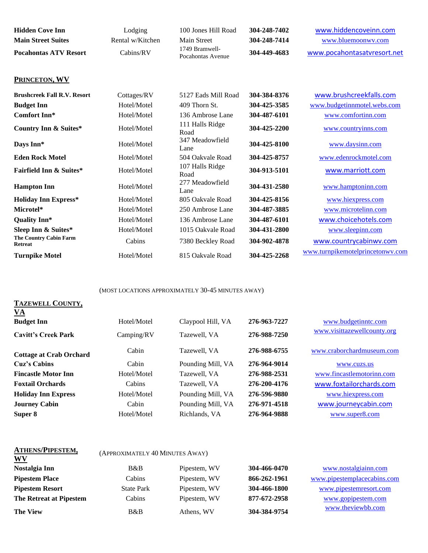| <b>Hidden Cove Inn</b>       | Lodging          | 100 Jones Hill Road                 | 304-248-7402 | www.hiddencoveinn.com       |
|------------------------------|------------------|-------------------------------------|--------------|-----------------------------|
| <b>Main Street Suites</b>    | Rental w/Kitchen | Main Street                         | 304-248-7414 | www.bluemoonwy.com          |
| <b>Pocahontas ATV Resort</b> | Cabins/RV        | 1749 Bramwell-<br>Pocahontas Avenue | 304-449-4683 | www.pocahontasatvresort.net |

# **PRINCETON, WV**

| <b>Brushcreek Fall R.V. Resort</b>       | Cottages/RV | 5127 Eads Mill Road     | 304-384-8376 | www.brushcreekfalls.com          |
|------------------------------------------|-------------|-------------------------|--------------|----------------------------------|
| <b>Budget Inn</b>                        | Hotel/Motel | 409 Thorn St.           | 304-425-3585 | www.budgetinnmotel.webs.com      |
| Comfort Inn*                             | Hotel/Motel | 136 Ambrose Lane        | 304-487-6101 | www.comfortinn.com               |
| Country Inn & Suites*                    | Hotel/Motel | 111 Halls Ridge<br>Road | 304-425-2200 | www.countryinns.com              |
| Days Inn*                                | Hotel/Motel | 347 Meadowfield<br>Lane | 304-425-8100 | www.daysinn.com                  |
| <b>Eden Rock Motel</b>                   | Hotel/Motel | 504 Oakvale Road        | 304-425-8757 | www.edenrockmotel.com            |
| <b>Fairfield Inn &amp; Suites*</b>       | Hotel/Motel | 107 Halls Ridge<br>Road | 304-913-5101 | www.marriott.com                 |
| <b>Hampton Inn</b>                       | Hotel/Motel | 277 Meadowfield<br>Lane | 304-431-2580 | www.hamptoninn.com               |
| <b>Holiday Inn Express*</b>              | Hotel/Motel | 805 Oakvale Road        | 304-425-8156 | www.hiexpress.com                |
| Microtel*                                | Hotel/Motel | 250 Ambrose Lane        | 304-487-3885 | www.microtelinn.com              |
| <b>Quality Inn*</b>                      | Hotel/Motel | 136 Ambrose Lane        | 304-487-6101 | www.choicehotels.com             |
| Sleep Inn & Suites*                      | Hotel/Motel | 1015 Oakvale Road       | 304-431-2800 | www.sleepinn.com                 |
| <b>The Country Cabin Farm</b><br>Retreat | Cabins      | 7380 Beckley Road       | 304-902-4878 | www.countrycabinwv.com           |
| <b>Turnpike Motel</b>                    | Hotel/Motel | 815 Oakvale Road        | 304-425-2268 | www.turnpikemotelprincetonwy.com |

## (MOST LOCATIONS APPROXIMATELY 30-45 MINUTES AWAY)

#### **TAZEWELL COUNTY, VA**

| <u>.</u><br><b>Budget Inn</b>  | Hotel/Motel | Claypool Hill, VA | 276-963-7227 | www.budgetinntc.com         |
|--------------------------------|-------------|-------------------|--------------|-----------------------------|
| <b>Cavitt's Creek Park</b>     | Camping/RV  | Tazewell, VA      | 276-988-7250 | www.visittazewellcounty.org |
| <b>Cottage at Crab Orchard</b> | Cabin       | Tazewell, VA      | 276-988-6755 | www.craborchardmuseum.com   |
| Cuz's Cabins                   | Cabin       | Pounding Mill, VA | 276-964-9014 | www.cuzs.us                 |
| <b>Fincastle Motor Inn</b>     | Hotel/Motel | Tazewell, VA      | 276-988-2531 | www.fincastlemotorinn.com   |
| <b>Foxtail Orchards</b>        | Cabins      | Tazewell, VA      | 276-200-4176 | www.foxtailorchards.com     |
| <b>Holiday Inn Express</b>     | Hotel/Motel | Pounding Mill, VA | 276-596-9880 | www.hiexpress.com           |
| <b>Journey Cabin</b>           | Cabin       | Pounding Mill, VA | 276-971-4518 | www.journeycabin.com        |
| Super 8                        | Hotel/Motel | Richlands, VA     | 276-964-9888 | www.super8.com              |

| <b>ATHENS/PIPESTEM,</b><br>WV | (APPROXIMATELY 40 MINUTES AWAY) |           |
|-------------------------------|---------------------------------|-----------|
| Nostalgia Inn                 | B&B                             | Pipestem, |
| <b>Pipestem Place</b>         | Cabins                          | Pipestem, |
|                               |                                 |           |

| zΒ   | Pipest |
|------|--------|
| ins  | Pipest |
| Park | Pipest |
| ins  | Pinest |

**Nostalgia Inn** B&B Pipestem, WV **304-466-0470** [www.nostalgiainn.com](http://www.nostalgiainn.com/) **Primes 866-262-1961** [www.pipestemplacecabins.com](http://www.pipestemplacecabins.com/) **Pipestem Resort** State Park Pipestem, WV 304-466-1800 [www.pipestemresort.com](http://www.pipestemresort.com/) **The Retreat at Pipestem** Cabins Pipestem, WV 877-672-2958 [www.gopipestem.com](http://www.gopipestem.com/) **The View** B&B Athens, WV 304-384-9754 [www.theviewbb.com](http://www.theviewbb.com/)